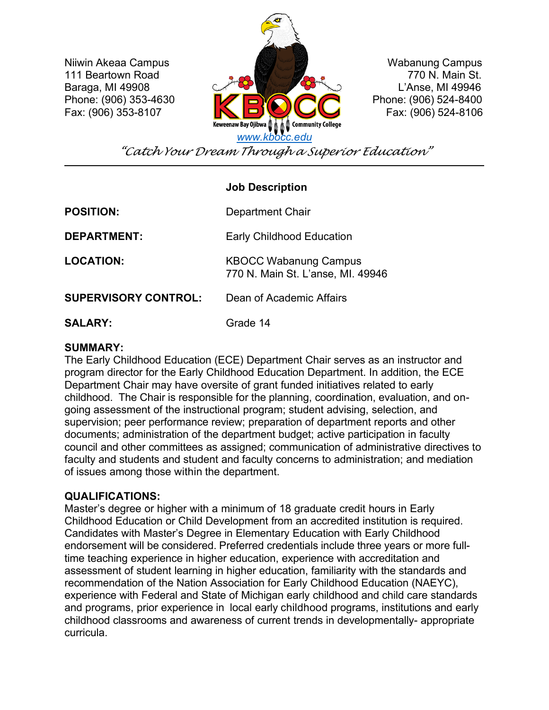111 Beartown Road



*"Catch Your Dream Through a Superior Education"*

# **Job Description**

**POSITION: DEPARTMENT: LOCATION: SUPERVISORY CONTROL: SALARY:** Department Chair Early Childhood Education KBOCC Wabanung Campus 770 N. Main St. L'anse, MI. 49946 Dean of Academic Affairs Grade 14

### **SUMMARY:**

The Early Childhood Education (ECE) Department Chair serves as an instructor and program director for the Early Childhood Education Department. In addition, the ECE Department Chair may have oversite of grant funded initiatives related to early childhood. The Chair is responsible for the planning, coordination, evaluation, and ongoing assessment of the instructional program; student advising, selection, and supervision; peer performance review; preparation of department reports and other documents; administration of the department budget; active participation in faculty council and other committees as assigned; communication of administrative directives to faculty and students and student and faculty concerns to administration; and mediation of issues among those within the department.

# **QUALIFICATIONS:**

Master's degree or higher with a minimum of 18 graduate credit hours in Early Childhood Education or Child Development from an accredited institution is required. Candidates with Master's Degree in Elementary Education with Early Childhood endorsement will be considered. Preferred credentials include three years or more fulltime teaching experience in higher education, experience with accreditation and assessment of student learning in higher education, familiarity with the standards and recommendation of the Nation Association for Early Childhood Education (NAEYC), experience with Federal and State of Michigan early childhood and child care standards and programs, prior experience in local early childhood programs, institutions and early childhood classrooms and awareness of current trends in developmentally- appropriate curricula.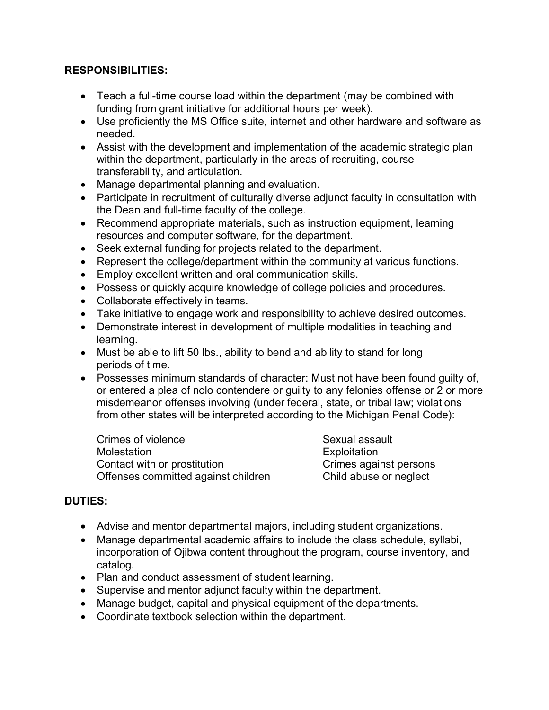# **RESPONSIBILITIES:**

- Teach a full-time course load within the department (may be combined with funding from grant initiative for additional hours per week).
- Use proficiently the MS Office suite, internet and other hardware and software as needed.
- Assist with the development and implementation of the academic strategic plan within the department, particularly in the areas of recruiting, course transferability, and articulation.
- Manage departmental planning and evaluation.
- Participate in recruitment of culturally diverse adjunct faculty in consultation with the Dean and full-time faculty of the college.
- Recommend appropriate materials, such as instruction equipment, learning resources and computer software, for the department.
- Seek external funding for projects related to the department.
- Represent the college/department within the community at various functions.
- Employ excellent written and oral communication skills.
- Possess or quickly acquire knowledge of college policies and procedures.
- Collaborate effectively in teams.
- Take initiative to engage work and responsibility to achieve desired outcomes.
- Demonstrate interest in development of multiple modalities in teaching and learning.
- Must be able to lift 50 lbs., ability to bend and ability to stand for long periods of time.
- Possesses minimum standards of character: Must not have been found guilty of, or entered a plea of nolo contendere or guilty to any felonies offense or 2 or more misdemeanor offenses involving (under federal, state, or tribal law; violations from other states will be interpreted according to the Michigan Penal Code):

Crimes of violence **Sexual assault** Molestation Exploitation Contact with or prostitution Offenses committed against children Child abuse or neglect

# **DUTIES:**

- Advise and mentor departmental majors, including student organizations.
- Manage departmental academic affairs to include the class schedule, syllabi, incorporation of Ojibwa content throughout the program, course inventory, and catalog.
- Plan and conduct assessment of student learning.
- Supervise and mentor adjunct faculty within the department.
- Manage budget, capital and physical equipment of the departments.
- Coordinate textbook selection within the department.